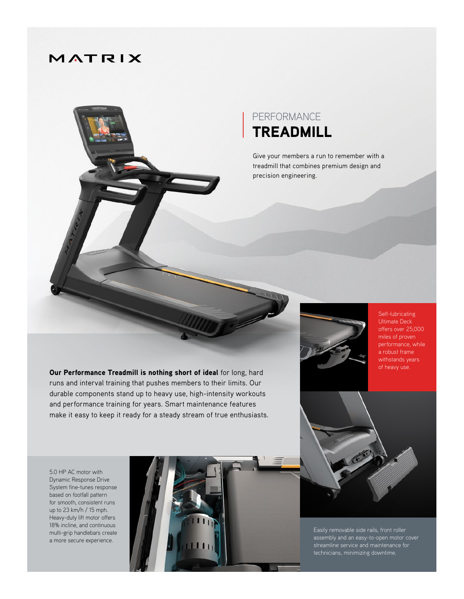## MATRIX



Give your members a run to remember with a treadmill that combines premium design and precision engineering.

Our Performance Treadmill is nothing short of ideal for long, hard runs and interval training that pushes members to their limits. Our durable components stand up to heavy use, high-intensity workouts and performance training for years. Smart maintenance features make it easy to keep it ready for a steady stream of true enthusiasts.



Self-lubricating Ultimate Deck offers over 25,000 miles of proven performance, while a robust frame withstands years of heavy use.

5.0 HP AC motor with Dynamic Response Drive System fine-tunes response based on footfall pattern for smooth, consistent runs up to 23 km/h / 15 mph. Heavy-duty lift motor offers 18% incline, and continuous multi-grip handlebars create a more secure experience.



Easily removable side rails, front roller assembly and an easy-to-open motor cover technicians, minimizing downtime.